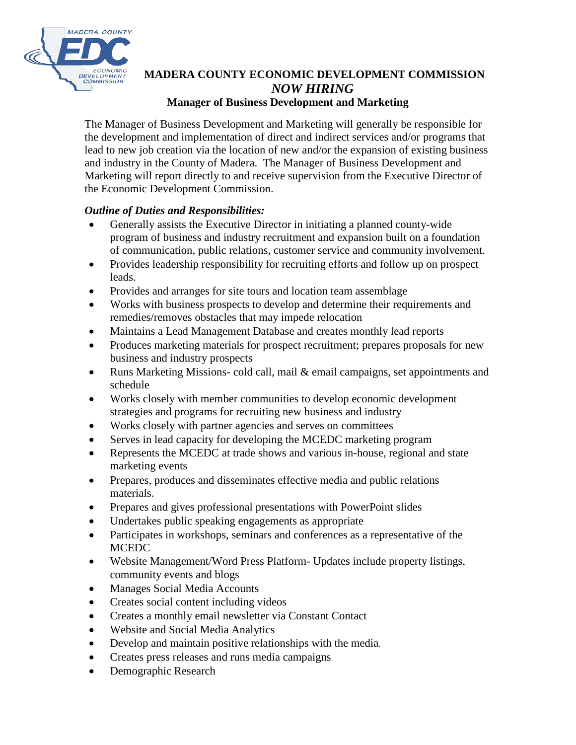

## **MADERA COUNTY ECONOMIC DEVELOPMENT COMMISSION** *NOW HIRING*

## **Manager of Business Development and Marketing**

The Manager of Business Development and Marketing will generally be responsible for the development and implementation of direct and indirect services and/or programs that lead to new job creation via the location of new and/or the expansion of existing business and industry in the County of Madera. The Manager of Business Development and Marketing will report directly to and receive supervision from the Executive Director of the Economic Development Commission.

## *Outline of Duties and Responsibilities:*

- Generally assists the Executive Director in initiating a planned county-wide program of business and industry recruitment and expansion built on a foundation of communication, public relations, customer service and community involvement.
- Provides leadership responsibility for recruiting efforts and follow up on prospect leads.
- Provides and arranges for site tours and location team assemblage
- Works with business prospects to develop and determine their requirements and remedies/removes obstacles that may impede relocation
- Maintains a Lead Management Database and creates monthly lead reports
- Produces marketing materials for prospect recruitment; prepares proposals for new business and industry prospects
- Runs Marketing Missions- cold call, mail & email campaigns, set appointments and schedule
- Works closely with member communities to develop economic development strategies and programs for recruiting new business and industry
- Works closely with partner agencies and serves on committees
- Serves in lead capacity for developing the MCEDC marketing program
- Represents the MCEDC at trade shows and various in-house, regional and state marketing events
- Prepares, produces and disseminates effective media and public relations materials.
- Prepares and gives professional presentations with PowerPoint slides
- Undertakes public speaking engagements as appropriate
- Participates in workshops, seminars and conferences as a representative of the **MCEDC**
- Website Management/Word Press Platform- Updates include property listings, community events and blogs
- Manages Social Media Accounts
- Creates social content including videos
- Creates a monthly email newsletter via Constant Contact
- Website and Social Media Analytics
- Develop and maintain positive relationships with the media.
- Creates press releases and runs media campaigns
- Demographic Research